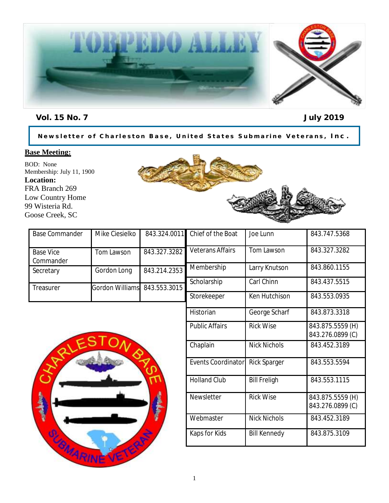

Vol. 15 No. 7 July 2019

Newsletter of Charleston Base, United States Submarine Veterans, Inc.

#### **Base Meeting:**

BOD: None Membership: July 11, 1900 **Location:** FRA Branch 269 Low Country Home 99 Wisteria Rd. Goose Creek, SC



| <b>Base Commander</b>         | Mike Ciesielko               |              | 843.324.0011 Chief of the Boat | Joe Lunn      | 843.747.5368 |
|-------------------------------|------------------------------|--------------|--------------------------------|---------------|--------------|
| <b>Base Vice</b><br>Commander | Tom Lawson                   | 843.327.3282 | <b>Veterans Affairs</b>        | Tom Lawson    | 843.327.3282 |
| Secretary                     | Gordon Long                  | 843.214.2353 | Membership                     | Larry Knutson | 843.860.1155 |
| Treasurer                     | Gordon Williams 843.553.3015 |              | Scholarship                    | Carl Chinn    | 843.437.5515 |
|                               |                              |              | Storekeeper                    | Ken Hutchison | 843.553.0935 |



| Membership                | Larry Knutson       | 843.860.1155                         |
|---------------------------|---------------------|--------------------------------------|
| Scholarship               | Carl Chinn          | 843.437.5515                         |
| Storekeeper               | Ken Hutchison       | 843.553.0935                         |
| Historian                 | George Scharf       | 843.873.3318                         |
| <b>Public Affairs</b>     | <b>Rick Wise</b>    | 843.875.5559 (H)<br>843.276.0899 (C) |
| Chaplain                  | <b>Nick Nichols</b> | 843.452.3189                         |
| <b>Events Coordinator</b> | Rick Sparger        | 843.553.5594                         |
| <b>Holland Club</b>       | <b>Bill Freligh</b> | 843.553.1115                         |
| <b>Newsletter</b>         | <b>Rick Wise</b>    | 843.875.5559 (H)<br>843.276.0899 (C) |
| Webmaster                 | <b>Nick Nichols</b> | 843.452.3189                         |
| Kaps for Kids             | <b>Bill Kennedy</b> | 843.875.3109                         |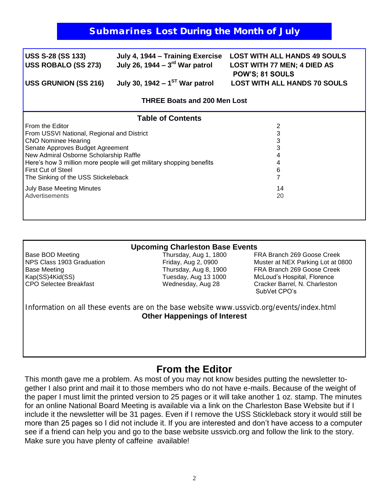# Submarines Lost During the Month of July

| <b>USS S-28 (SS 133)</b><br><b>USS ROBALO (SS 273)</b> | July 4, 1944 – Training Exercise<br>July 26, 1944 – $3^{\text{rd}}$ War patrol | <b>LOST WITH ALL HANDS 49 SOULS</b><br><b>LOST WITH 77 MEN; 4 DIED AS</b><br>POW'S; 81 SOULS |  |  |  |  |
|--------------------------------------------------------|--------------------------------------------------------------------------------|----------------------------------------------------------------------------------------------|--|--|--|--|
| <b>USS GRUNION (SS 216)</b>                            | July 30, 1942 – $1ST$ War patrol                                               | <b>LOST WITH ALL HANDS 70 SOULS</b>                                                          |  |  |  |  |
| <b>THREE Boats and 200 Men Lost</b>                    |                                                                                |                                                                                              |  |  |  |  |
| <b>Table of Contents</b>                               |                                                                                |                                                                                              |  |  |  |  |
| From the Editor                                        |                                                                                | 2                                                                                            |  |  |  |  |
| From USSVI National, Regional and District             |                                                                                | 3                                                                                            |  |  |  |  |
| <b>CNO Nominee Hearing</b>                             |                                                                                | 3                                                                                            |  |  |  |  |
| Senate Approves Budget Agreement                       |                                                                                |                                                                                              |  |  |  |  |
| New Admiral Osborne Scholarship Raffle                 |                                                                                |                                                                                              |  |  |  |  |
|                                                        | Here's how 3 million more people will get military shopping benefits           |                                                                                              |  |  |  |  |
| <b>First Cut of Steel</b>                              |                                                                                | 6                                                                                            |  |  |  |  |
| The Sinking of the USS Stickeleback                    |                                                                                |                                                                                              |  |  |  |  |
| <b>July Base Meeting Minutes</b>                       |                                                                                | 14                                                                                           |  |  |  |  |
| Advertisements                                         |                                                                                | 20                                                                                           |  |  |  |  |
|                                                        |                                                                                |                                                                                              |  |  |  |  |

#### **Upcoming Charleston Base Events**

Base BOD Meeting Thursday, Aug 1, 1800 FRA Branch 269 Goose Creek NPS Class 1903 Graduation Friday, Aug 2, 0900 Muster at NEX Parking Lot at 0800 Base Meeting Thursday, Aug 8, 1900 FRA Branch 269 Goose Creek Kap(SS)4Kid(SS) Tuesday, Aug 13 1000 McLoud's Hospital, Florence CPO Selectee Breakfast Wednesday, Aug 28 Cracker Barrel, N. Charleston SubVet CPO's

Information on all these events are on the base website www.ussvicb.org/events/index.html **Other Happenings of Interest**

# **From the Editor**

This month gave me a problem. As most of you may not know besides putting the newsletter together I also print and mail it to those members who do not have e-mails. Because of the weight of the paper I must limit the printed version to 25 pages or it will take another 1 oz. stamp. The minutes for an online National Board Meeting is available via a link on the Charleston Base Website but if I include it the newsletter will be 31 pages. Even if I remove the USS Stickleback story it would still be more than 25 pages so I did not include it. If you are interested and don't have access to a computer see if a friend can help you and go to the base website ussvicb.org and follow the link to the story. Make sure you have plenty of caffeine available!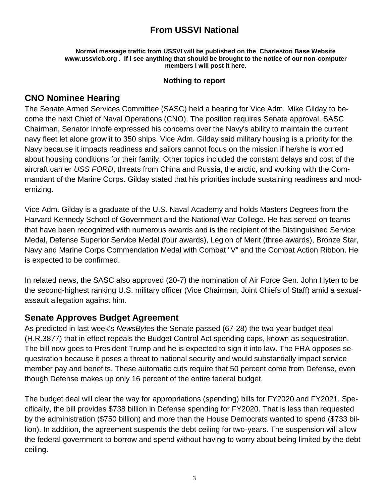# **From USSVI National**

#### **Normal message traffic from USSVI will be published on the Charleston Base Website www.ussvicb.org . If I see anything that should be brought to the notice of our non-computer members I will post it here.**

#### **Nothing to report**

# **CNO Nominee Hearing**

The Senate Armed Services Committee (SASC) held a hearing for Vice Adm. Mike Gilday to become the next Chief of Naval Operations (CNO). The position requires Senate approval. SASC Chairman, Senator Inhofe expressed his concerns over the Navy's ability to maintain the current navy fleet let alone grow it to 350 ships. Vice Adm. Gilday said military housing is a priority for the Navy because it impacts readiness and sailors cannot focus on the mission if he/she is worried about housing conditions for their family. Other topics included the constant delays and cost of the aircraft carrier *USS FORD*, threats from China and Russia, the arctic, and working with the Commandant of the Marine Corps. Gilday stated that his priorities include sustaining readiness and modernizing.

Vice Adm. Gilday is a graduate of the U.S. Naval Academy and holds Masters Degrees from the Harvard Kennedy School of Government and the National War College. He has served on teams that have been recognized with numerous awards and is the recipient of the Distinguished Service Medal, Defense Superior Service Medal (four awards), Legion of Merit (three awards), Bronze Star, Navy and Marine Corps Commendation Medal with Combat "V" and the Combat Action Ribbon. He is expected to be confirmed.

In related news, the SASC also approved (20-7) the nomination of Air Force Gen. John Hyten to be the second-highest ranking U.S. military officer (Vice Chairman, Joint Chiefs of Staff) amid a sexualassault allegation against him.

# **Senate Approves Budget Agreement**

As predicted in last week's *NewsBytes* the Senate passed (67-28) the two-year budget deal (H.R.3877) that in effect repeals the Budget Control Act spending caps, known as sequestration. The bill now goes to President Trump and he is expected to sign it into law. The FRA opposes sequestration because it poses a threat to national security and would substantially impact service member pay and benefits. These automatic cuts require that 50 percent come from Defense, even though Defense makes up only 16 percent of the entire federal budget.

The budget deal will clear the way for appropriations (spending) bills for FY2020 and FY2021. Specifically, the bill provides \$738 billion in Defense spending for FY2020. That is less than requested by the administration (\$750 billion) and more than the House Democrats wanted to spend (\$733 billion). In addition, the agreement suspends the debt ceiling for two-years. The suspension will allow the federal government to borrow and spend without having to worry about being limited by the debt ceiling.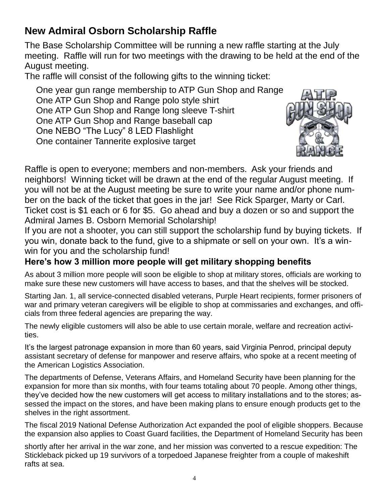# **New Admiral Osborn Scholarship Raffle**

The Base Scholarship Committee will be running a new raffle starting at the July meeting. Raffle will run for two meetings with the drawing to be held at the end of the August meeting.

The raffle will consist of the following gifts to the winning ticket:

One year gun range membership to ATP Gun Shop and Range One ATP Gun Shop and Range polo style shirt One ATP Gun Shop and Range long sleeve T-shirt One ATP Gun Shop and Range baseball cap One NEBO "The Lucy" 8 LED Flashlight One container Tannerite explosive target



Raffle is open to everyone; members and non-members. Ask your friends and neighbors! Winning ticket will be drawn at the end of the regular August meeting. If you will not be at the August meeting be sure to write your name and/or phone number on the back of the ticket that goes in the jar! See Rick Sparger, Marty or Carl. Ticket cost is \$1 each or 6 for \$5. Go ahead and buy a dozen or so and support the Admiral James B. Osborn Memorial Scholarship!

If you are not a shooter, you can still support the scholarship fund by buying tickets. If you win, donate back to the fund, give to a shipmate or sell on your own. It's a winwin for you and the scholarship fund!

# **Here's how 3 million more people will get military shopping benefits**

As about 3 million more people will soon be eligible to shop at military stores, officials are working to make sure these new customers will have access to bases, and that the shelves will be stocked.

Starting Jan. 1, all service-connected disabled veterans, Purple Heart recipients, former prisoners of war and primary veteran caregivers will be eligible to shop at commissaries and exchanges, and officials from three federal agencies are preparing the way.

The newly eligible customers will also be able to use certain morale, welfare and recreation activities.

It's the largest patronage expansion in more than 60 years, said Virginia Penrod, principal deputy assistant secretary of defense for manpower and reserve affairs, who spoke at a recent meeting of the American Logistics Association.

The departments of Defense, Veterans Affairs, and Homeland Security have been planning for the expansion for more than six months, with four teams totaling about 70 people. Among other things, they've decided how the new customers will get access to military installations and to the stores; assessed the impact on the stores, and have been making plans to ensure enough products get to the shelves in the right assortment.

The fiscal 2019 National Defense Authorization Act expanded the pool of eligible shoppers. Because the expansion also applies to Coast Guard facilities, the Department of Homeland Security has been

shortly after her arrival in the war zone, and her mission was converted to a rescue expedition: The Stickleback picked up 19 survivors of a torpedoed Japanese freighter from a couple of makeshift rafts at sea.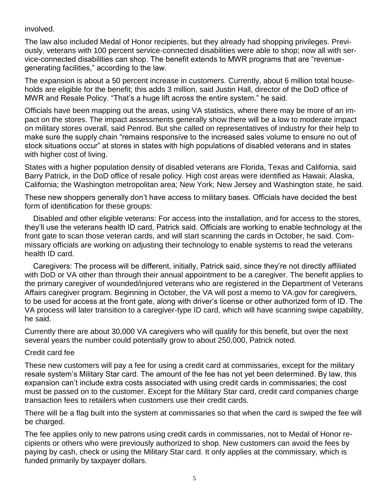involved.

The law also included Medal of Honor recipients, but they already had shopping privileges. Previously, veterans with 100 percent service-connected disabilities were able to shop; now all with service-connected disabilities can shop. The benefit extends to MWR programs that are "revenuegenerating facilities," according to the law.

The expansion is about a 50 percent increase in customers. Currently, about 6 million total households are eligible for the benefit; this adds 3 million, said Justin Hall, director of the DoD office of MWR and Resale Policy. "That's a huge lift across the entire system." he said.

Officials have been mapping out the areas, using VA statistics, where there may be more of an impact on the stores. The impact assessments generally show there will be a low to moderate impact on military stores overall, said Penrod. But she called on representatives of industry for their help to make sure the supply chain "remains responsive to the increased sales volume to ensure no out of stock situations occur" at stores in states with high populations of disabled veterans and in states with higher cost of living.

States with a higher population density of disabled veterans are Florida, Texas and California, said Barry Patrick, in the DoD office of resale policy. High cost areas were identified as Hawaii; Alaska, California; the Washington metropolitan area; New York; New Jersey and Washington state, he said.

These new shoppers generally don't have access to military bases. Officials have decided the best form of identification for these groups:

 Disabled and other eligible veterans: For access into the installation, and for access to the stores, they'll use the veterans health ID card, Patrick said. Officials are working to enable technology at the front gate to scan those veteran cards, and will start scanning the cards in October, he said. Commissary officials are working on adjusting their technology to enable systems to read the veterans health ID card.

 Caregivers: The process will be different, initially, Patrick said, since they're not directly affiliated with DoD or VA other than through their annual appointment to be a caregiver. The benefit applies to the primary caregiver of wounded/injured veterans who are registered in the Department of Veterans Affairs caregiver program. Beginning in October, the VA will post a memo to VA.gov for caregivers, to be used for access at the front gate, along with driver's license or other authorized form of ID. The VA process will later transition to a caregiver-type ID card, which will have scanning swipe capability, he said.

Currently there are about 30,000 VA caregivers who will qualify for this benefit, but over the next several years the number could potentially grow to about 250,000, Patrick noted.

#### Credit card fee

These new customers will pay a fee for using a credit card at commissaries, except for the military resale system's Military Star card. The amount of the fee has not yet been determined. By law, this expansion can't include extra costs associated with using credit cards in commissaries; the cost must be passed on to the customer. Except for the Military Star card, credit card companies charge transaction fees to retailers when customers use their credit cards.

There will be a flag built into the system at commissaries so that when the card is swiped the fee will be charged.

The fee applies only to new patrons using credit cards in commissaries, not to Medal of Honor recipients or others who were previously authorized to shop. New customers can avoid the fees by paying by cash, check or using the Military Star card. It only applies at the commissary, which is funded primarily by taxpayer dollars.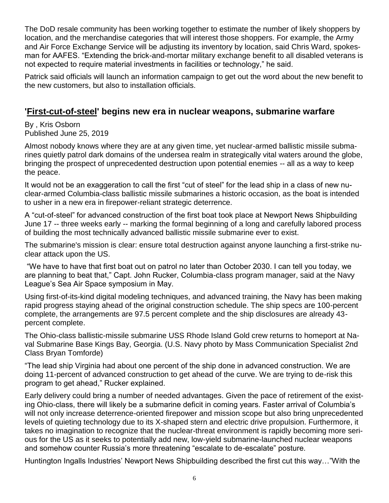The DoD resale community has been working together to estimate the number of likely shoppers by location, and the merchandise categories that will interest those shoppers. For example, the Army and Air Force Exchange Service will be adjusting its inventory by location, said Chris Ward, spokesman for AAFES. "Extending the brick-and-mortar military exchange benefit to all disabled veterans is not expected to require material investments in facilities or technology," he said.

Patrick said officials will launch an information campaign to get out the word about the new benefit to the new customers, but also to installation officials.

# **'First-cut-of-steel' begins new era in nuclear weapons, submarine warfare**

By , Kris Osborn Published June 25, 2019

Almost nobody knows where they are at any given time, yet nuclear-armed ballistic missile submarines quietly patrol dark domains of the undersea realm in strategically vital waters around the globe, bringing the prospect of unprecedented destruction upon potential enemies -- all as a way to keep the peace.

It would not be an exaggeration to call the first "cut of steel" for the lead ship in a class of new nuclear-armed Columbia-class ballistic missile submarines a historic occasion, as the boat is intended to usher in a new era in firepower-reliant strategic deterrence.

A "cut-of-steel" for advanced construction of the first boat took place at Newport News Shipbuilding June 17 -- three weeks early -- marking the formal beginning of a long and carefully labored process of building the most technically advanced ballistic missile submarine ever to exist.

The submarine's mission is clear: ensure total destruction against anyone launching a first-strike nuclear attack upon the US.

"We have to have that first boat out on patrol no later than October 2030. I can tell you today, we are planning to beat that," Capt. John Rucker, Columbia-class program manager, said at the Navy League's Sea Air Space symposium in May.

Using first-of-its-kind digital modeling techniques, and advanced training, the Navy has been making rapid progress staying ahead of the original construction schedule. The ship specs are 100-percent complete, the arrangements are 97.5 percent complete and the ship disclosures are already 43 percent complete.

The Ohio-class ballistic-missile submarine USS Rhode Island Gold crew returns to homeport at Naval Submarine Base Kings Bay, Georgia. (U.S. Navy photo by Mass Communication Specialist 2nd Class Bryan Tomforde)

"The lead ship Virginia had about one percent of the ship done in advanced construction. We are doing 11-percent of advanced construction to get ahead of the curve. We are trying to de-risk this program to get ahead," Rucker explained.

Early delivery could bring a number of needed advantages. Given the pace of retirement of the existing Ohio-class, there will likely be a submarine deficit in coming years. Faster arrival of Columbia's will not only increase deterrence-oriented firepower and mission scope but also bring unprecedented levels of quieting technology due to its X-shaped stern and electric drive propulsion. Furthermore, it takes no imagination to recognize that the nuclear-threat environment is rapidly becoming more serious for the US as it seeks to potentially add new, low-yield submarine-launched nuclear weapons and somehow counter Russia's more threatening "escalate to de-escalate" posture.

Huntington Ingalls Industries' Newport News Shipbuilding described the first cut this way…"With the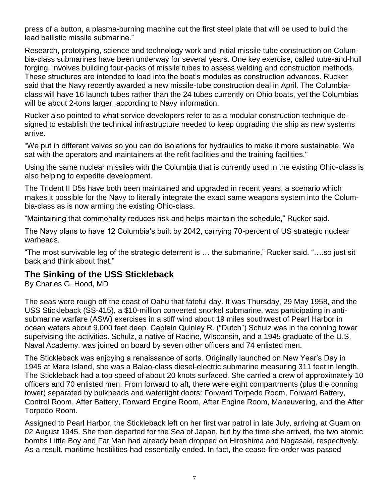press of a button, a plasma-burning machine cut the first steel plate that will be used to build the lead ballistic missile submarine."

Research, prototyping, science and technology work and initial missile tube construction on Columbia-class submarines have been underway for several years. One key exercise, called tube-and-hull forging, involves building four-packs of missile tubes to assess welding and construction methods. These structures are intended to load into the boat's modules as construction advances. Rucker said that the Navy recently awarded a new missile-tube construction deal in April. The Columbiaclass will have 16 launch tubes rather than the 24 tubes currently on Ohio boats, yet the Columbias will be about 2-tons larger, according to Navy information.

Rucker also pointed to what service developers refer to as a modular construction technique designed to establish the technical infrastructure needed to keep upgrading the ship as new systems arrive.

"We put in different valves so you can do isolations for hydraulics to make it more sustainable. We sat with the operators and maintainers at the refit facilities and the training facilities."

Using the same nuclear missiles with the Columbia that is currently used in the existing Ohio-class is also helping to expedite development.

The Trident II D5s have both been maintained and upgraded in recent years, a scenario which makes it possible for the Navy to literally integrate the exact same weapons system into the Columbia-class as is now arming the existing Ohio-class.

"Maintaining that commonality reduces risk and helps maintain the schedule," Rucker said.

The Navy plans to have 12 Columbia's built by 2042, carrying 70-percent of US strategic nuclear warheads.

"The most survivable leg of the strategic deterrent is … the submarine," Rucker said. "….so just sit back and think about that."

# **The Sinking of the USS Stickleback**

By Charles G. Hood, MD

The seas were rough off the coast of Oahu that fateful day. It was Thursday, 29 May 1958, and the USS Stickleback (SS-415), a \$10-million converted snorkel submarine, was participating in antisubmarine warfare (ASW) exercises in a stiff wind about 19 miles southwest of Pearl Harbor in ocean waters about 9,000 feet deep. Captain Quinley R. ("Dutch") Schulz was in the conning tower supervising the activities. Schulz, a native of Racine, Wisconsin, and a 1945 graduate of the U.S. Naval Academy, was joined on board by seven other officers and 74 enlisted men.

The Stickleback was enjoying a renaissance of sorts. Originally launched on New Year's Day in 1945 at Mare Island, she was a Balao-class diesel-electric submarine measuring 311 feet in length. The Stickleback had a top speed of about 20 knots surfaced. She carried a crew of approximately 10 officers and 70 enlisted men. From forward to aft, there were eight compartments (plus the conning tower) separated by bulkheads and watertight doors: Forward Torpedo Room, Forward Battery, Control Room, After Battery, Forward Engine Room, After Engine Room, Maneuvering, and the After Torpedo Room.

Assigned to Pearl Harbor, the Stickleback left on her first war patrol in late July, arriving at Guam on 02 August 1945. She then departed for the Sea of Japan, but by the time she arrived, the two atomic bombs Little Boy and Fat Man had already been dropped on Hiroshima and Nagasaki, respectively. As a result, maritime hostilities had essentially ended. In fact, the cease-fire order was passed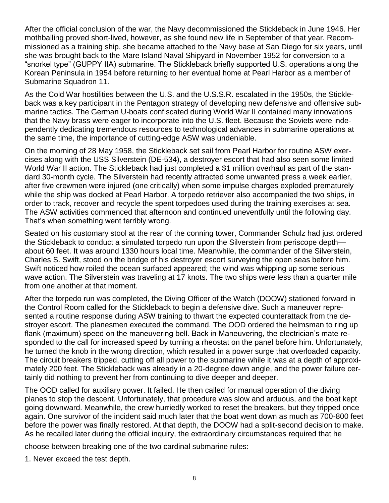After the official conclusion of the war, the Navy decommissioned the Stickleback in June 1946. Her mothballing proved short-lived, however, as she found new life in September of that year. Recommissioned as a training ship, she became attached to the Navy base at San Diego for six years, until she was brought back to the Mare Island Naval Shipyard in November 1952 for conversion to a "snorkel type" (GUPPY IIA) submarine. The Stickleback briefly supported U.S. operations along the Korean Peninsula in 1954 before returning to her eventual home at Pearl Harbor as a member of Submarine Squadron 11.

As the Cold War hostilities between the U.S. and the U.S.S.R. escalated in the 1950s, the Stickleback was a key participant in the Pentagon strategy of developing new defensive and offensive submarine tactics. The German U-boats confiscated during World War II contained many innovations that the Navy brass were eager to incorporate into the U.S. fleet. Because the Soviets were independently dedicating tremendous resources to technological advances in submarine operations at the same time, the importance of cutting-edge ASW was undeniable.

On the morning of 28 May 1958, the Stickleback set sail from Pearl Harbor for routine ASW exercises along with the USS Silverstein (DE-534), a destroyer escort that had also seen some limited World War II action. The Stickleback had just completed a \$1 million overhaul as part of the standard 30-month cycle. The Silverstein had recently attracted some unwanted press a week earlier, after five crewmen were injured (one critically) when some impulse charges exploded prematurely while the ship was docked at Pearl Harbor. A torpedo retriever also accompanied the two ships, in order to track, recover and recycle the spent torpedoes used during the training exercises at sea. The ASW activities commenced that afternoon and continued uneventfully until the following day. That's when something went terribly wrong.

Seated on his customary stool at the rear of the conning tower, Commander Schulz had just ordered the Stickleback to conduct a simulated torpedo run upon the Silverstein from periscope depth about 60 feet. It was around 1330 hours local time. Meanwhile, the commander of the Silverstein, Charles S. Swift, stood on the bridge of his destroyer escort surveying the open seas before him. Swift noticed how roiled the ocean surfaced appeared; the wind was whipping up some serious wave action. The Silverstein was traveling at 17 knots. The two ships were less than a quarter mile from one another at that moment.

After the torpedo run was completed, the Diving Officer of the Watch (DOOW) stationed forward in the Control Room called for the Stickleback to begin a defensive dive. Such a maneuver represented a routine response during ASW training to thwart the expected counterattack from the destroyer escort. The planesmen executed the command. The OOD ordered the helmsman to ring up flank (maximum) speed on the maneuvering bell. Back in Maneuvering, the electrician's mate responded to the call for increased speed by turning a rheostat on the panel before him. Unfortunately, he turned the knob in the wrong direction, which resulted in a power surge that overloaded capacity. The circuit breakers tripped, cutting off all power to the submarine while it was at a depth of approximately 200 feet. The Stickleback was already in a 20-degree down angle, and the power failure certainly did nothing to prevent her from continuing to dive deeper and deeper.

The OOD called for auxiliary power. It failed. He then called for manual operation of the diving planes to stop the descent. Unfortunately, that procedure was slow and arduous, and the boat kept going downward. Meanwhile, the crew hurriedly worked to reset the breakers, but they tripped once again. One survivor of the incident said much later that the boat went down as much as 700-800 feet before the power was finally restored. At that depth, the DOOW had a split-second decision to make. As he recalled later during the official inquiry, the extraordinary circumstances required that he

choose between breaking one of the two cardinal submarine rules:

1. Never exceed the test depth.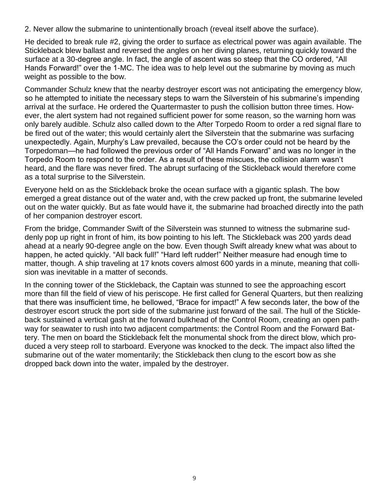2. Never allow the submarine to unintentionally broach (reveal itself above the surface).

He decided to break rule #2, giving the order to surface as electrical power was again available. The Stickleback blew ballast and reversed the angles on her diving planes, returning quickly toward the surface at a 30-degree angle. In fact, the angle of ascent was so steep that the CO ordered, "All Hands Forward!" over the 1-MC. The idea was to help level out the submarine by moving as much weight as possible to the bow.

Commander Schulz knew that the nearby destroyer escort was not anticipating the emergency blow, so he attempted to initiate the necessary steps to warn the Silverstein of his submarine's impending arrival at the surface. He ordered the Quartermaster to push the collision button three times. However, the alert system had not regained sufficient power for some reason, so the warning horn was only barely audible. Schulz also called down to the After Torpedo Room to order a red signal flare to be fired out of the water; this would certainly alert the Silverstein that the submarine was surfacing unexpectedly. Again, Murphy's Law prevailed, because the CO's order could not be heard by the Torpedoman—he had followed the previous order of "All Hands Forward" and was no longer in the Torpedo Room to respond to the order. As a result of these miscues, the collision alarm wasn't heard, and the flare was never fired. The abrupt surfacing of the Stickleback would therefore come as a total surprise to the Silverstein.

Everyone held on as the Stickleback broke the ocean surface with a gigantic splash. The bow emerged a great distance out of the water and, with the crew packed up front, the submarine leveled out on the water quickly. But as fate would have it, the submarine had broached directly into the path of her companion destroyer escort.

From the bridge, Commander Swift of the Silverstein was stunned to witness the submarine suddenly pop up right in front of him, its bow pointing to his left. The Stickleback was 200 yards dead ahead at a nearly 90-degree angle on the bow. Even though Swift already knew what was about to happen, he acted quickly. "All back full!" "Hard left rudder!" Neither measure had enough time to matter, though. A ship traveling at 17 knots covers almost 600 yards in a minute, meaning that collision was inevitable in a matter of seconds.

In the conning tower of the Stickleback, the Captain was stunned to see the approaching escort more than fill the field of view of his periscope. He first called for General Quarters, but then realizing that there was insufficient time, he bellowed, "Brace for impact!" A few seconds later, the bow of the destroyer escort struck the port side of the submarine just forward of the sail. The hull of the Stickleback sustained a vertical gash at the forward bulkhead of the Control Room, creating an open pathway for seawater to rush into two adjacent compartments: the Control Room and the Forward Battery. The men on board the Stickleback felt the monumental shock from the direct blow, which produced a very steep roll to starboard. Everyone was knocked to the deck. The impact also lifted the submarine out of the water momentarily; the Stickleback then clung to the escort bow as she dropped back down into the water, impaled by the destroyer.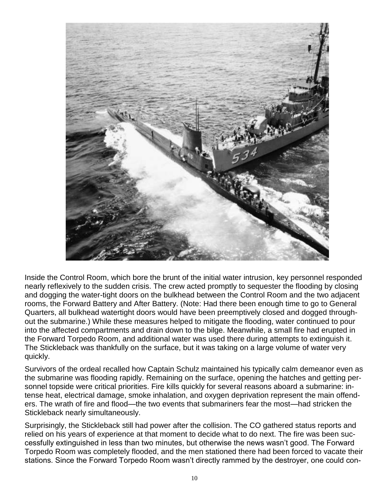

Inside the Control Room, which bore the brunt of the initial water intrusion, key personnel responded nearly reflexively to the sudden crisis. The crew acted promptly to sequester the flooding by closing and dogging the water-tight doors on the bulkhead between the Control Room and the two adjacent rooms, the Forward Battery and After Battery. (Note: Had there been enough time to go to General Quarters, all bulkhead watertight doors would have been preemptively closed and dogged throughout the submarine.) While these measures helped to mitigate the flooding, water continued to pour into the affected compartments and drain down to the bilge. Meanwhile, a small fire had erupted in the Forward Torpedo Room, and additional water was used there during attempts to extinguish it. The Stickleback was thankfully on the surface, but it was taking on a large volume of water very quickly.

Survivors of the ordeal recalled how Captain Schulz maintained his typically calm demeanor even as the submarine was flooding rapidly. Remaining on the surface, opening the hatches and getting personnel topside were critical priorities. Fire kills quickly for several reasons aboard a submarine: intense heat, electrical damage, smoke inhalation, and oxygen deprivation represent the main offenders. The wrath of fire and flood—the two events that submariners fear the most—had stricken the Stickleback nearly simultaneously.

Surprisingly, the Stickleback still had power after the collision. The CO gathered status reports and relied on his years of experience at that moment to decide what to do next. The fire was been successfully extinguished in less than two minutes, but otherwise the news wasn't good. The Forward Torpedo Room was completely flooded, and the men stationed there had been forced to vacate their stations. Since the Forward Torpedo Room wasn't directly rammed by the destroyer, one could con-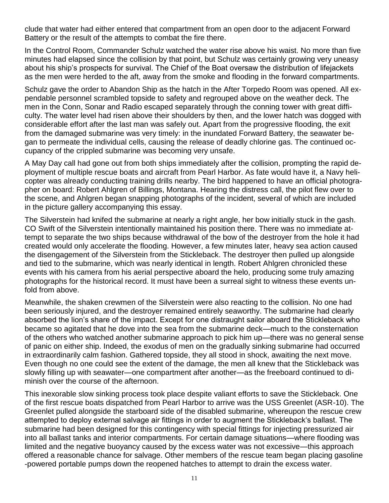clude that water had either entered that compartment from an open door to the adjacent Forward Battery or the result of the attempts to combat the fire there.

In the Control Room, Commander Schulz watched the water rise above his waist. No more than five minutes had elapsed since the collision by that point, but Schulz was certainly growing very uneasy about his ship's prospects for survival. The Chief of the Boat oversaw the distribution of lifejackets as the men were herded to the aft, away from the smoke and flooding in the forward compartments.

Schulz gave the order to Abandon Ship as the hatch in the After Torpedo Room was opened. All expendable personnel scrambled topside to safety and regrouped above on the weather deck. The men in the Conn, Sonar and Radio escaped separately through the conning tower with great difficulty. The water level had risen above their shoulders by then, and the lower hatch was dogged with considerable effort after the last man was safely out. Apart from the progressive flooding, the exit from the damaged submarine was very timely: in the inundated Forward Battery, the seawater began to permeate the individual cells, causing the release of deadly chlorine gas. The continued occupancy of the crippled submarine was becoming very unsafe.

A May Day call had gone out from both ships immediately after the collision, prompting the rapid deployment of multiple rescue boats and aircraft from Pearl Harbor. As fate would have it, a Navy helicopter was already conducting training drills nearby. The bird happened to have an official photographer on board: Robert Ahlgren of Billings, Montana. Hearing the distress call, the pilot flew over to the scene, and Ahlgren began snapping photographs of the incident, several of which are included in the picture gallery accompanying this essay.

The Silverstein had knifed the submarine at nearly a right angle, her bow initially stuck in the gash. CO Swift of the Silverstein intentionally maintained his position there. There was no immediate attempt to separate the two ships because withdrawal of the bow of the destroyer from the hole it had created would only accelerate the flooding. However, a few minutes later, heavy sea action caused the disengagement of the Silverstein from the Stickleback. The destroyer then pulled up alongside and tied to the submarine, which was nearly identical in length. Robert Ahlgren chronicled these events with his camera from his aerial perspective aboard the helo, producing some truly amazing photographs for the historical record. It must have been a surreal sight to witness these events unfold from above.

Meanwhile, the shaken crewmen of the Silverstein were also reacting to the collision. No one had been seriously injured, and the destroyer remained entirely seaworthy. The submarine had clearly absorbed the lion's share of the impact. Except for one distraught sailor aboard the Stickleback who became so agitated that he dove into the sea from the submarine deck—much to the consternation of the others who watched another submarine approach to pick him up—there was no general sense of panic on either ship. Indeed, the exodus of men on the gradually sinking submarine had occurred in extraordinarily calm fashion. Gathered topside, they all stood in shock, awaiting the next move. Even though no one could see the extent of the damage, the men all knew that the Stickleback was slowly filling up with seawater—one compartment after another—as the freeboard continued to diminish over the course of the afternoon.

This inexorable slow sinking process took place despite valiant efforts to save the Stickleback. One of the first rescue boats dispatched from Pearl Harbor to arrive was the USS Greenlet (ASR-10). The Greenlet pulled alongside the starboard side of the disabled submarine, whereupon the rescue crew attempted to deploy external salvage air fittings in order to augment the Stickleback's ballast. The submarine had been designed for this contingency with special fittings for injecting pressurized air into all ballast tanks and interior compartments. For certain damage situations—where flooding was limited and the negative buoyancy caused by the excess water was not excessive—this approach offered a reasonable chance for salvage. Other members of the rescue team began placing gasoline -powered portable pumps down the reopened hatches to attempt to drain the excess water.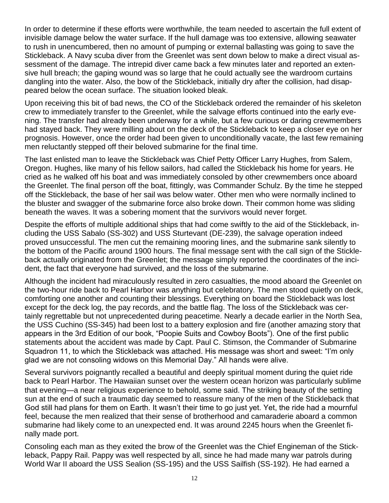In order to determine if these efforts were worthwhile, the team needed to ascertain the full extent of invisible damage below the water surface. If the hull damage was too extensive, allowing seawater to rush in unencumbered, then no amount of pumping or external ballasting was going to save the Stickleback. A Navy scuba diver from the Greenlet was sent down below to make a direct visual assessment of the damage. The intrepid diver came back a few minutes later and reported an extensive hull breach; the gaping wound was so large that he could actually see the wardroom curtains dangling into the water. Also, the bow of the Stickleback, initially dry after the collision, had disappeared below the ocean surface. The situation looked bleak.

Upon receiving this bit of bad news, the CO of the Stickleback ordered the remainder of his skeleton crew to immediately transfer to the Greenlet, while the salvage efforts continued into the early evening. The transfer had already been underway for a while, but a few curious or daring crewmembers had stayed back. They were milling about on the deck of the Stickleback to keep a closer eye on her prognosis. However, once the order had been given to unconditionally vacate, the last few remaining men reluctantly stepped off their beloved submarine for the final time.

The last enlisted man to leave the Stickleback was Chief Petty Officer Larry Hughes, from Salem, Oregon. Hughes, like many of his fellow sailors, had called the Stickleback his home for years. He cried as he walked off his boat and was immediately consoled by other crewmembers once aboard the Greenlet. The final person off the boat, fittingly, was Commander Schulz. By the time he stepped off the Stickleback, the base of her sail was below water. Other men who were normally inclined to the bluster and swagger of the submarine force also broke down. Their common home was sliding beneath the waves. It was a sobering moment that the survivors would never forget.

Despite the efforts of multiple additional ships that had come swiftly to the aid of the Stickleback, including the USS Sabalo (SS-302) and USS Sturtevant (DE-239), the salvage operation indeed proved unsuccessful. The men cut the remaining mooring lines, and the submarine sank silently to the bottom of the Pacific around 1900 hours. The final message sent with the call sign of the Stickleback actually originated from the Greenlet; the message simply reported the coordinates of the incident, the fact that everyone had survived, and the loss of the submarine.

Although the incident had miraculously resulted in zero casualties, the mood aboard the Greenlet on the two-hour ride back to Pearl Harbor was anything but celebratory. The men stood quietly on deck, comforting one another and counting their blessings. Everything on board the Stickleback was lost except for the deck log, the pay records, and the battle flag. The loss of the Stickleback was certainly regrettable but not unprecedented during peacetime. Nearly a decade earlier in the North Sea, the USS Cuchino (SS-345) had been lost to a battery explosion and fire (another amazing story that appears in the 3rd Edition of our book, "Poopie Suits and Cowboy Boots"). One of the first public statements about the accident was made by Capt. Paul C. Stimson, the Commander of Submarine Squadron 11, to which the Stickleback was attached. His message was short and sweet: "I'm only glad we are not consoling widows on this Memorial Day." All hands were alive.

Several survivors poignantly recalled a beautiful and deeply spiritual moment during the quiet ride back to Pearl Harbor. The Hawaiian sunset over the western ocean horizon was particularly sublime that evening—a near religious experience to behold, some said. The striking beauty of the setting sun at the end of such a traumatic day seemed to reassure many of the men of the Stickleback that God still had plans for them on Earth. It wasn't their time to go just yet. Yet, the ride had a mournful feel, because the men realized that their sense of brotherhood and camaraderie aboard a common submarine had likely come to an unexpected end. It was around 2245 hours when the Greenlet finally made port.

Consoling each man as they exited the brow of the Greenlet was the Chief Engineman of the Stickleback, Pappy Rail. Pappy was well respected by all, since he had made many war patrols during World War II aboard the USS Sealion (SS-195) and the USS Sailfish (SS-192). He had earned a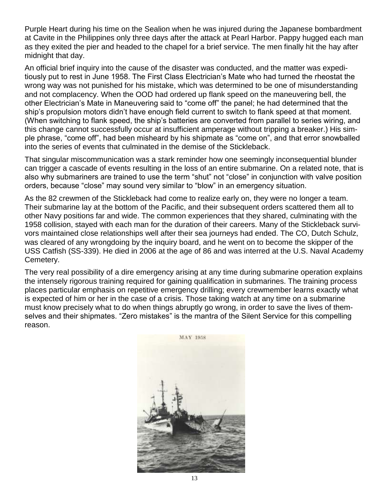Purple Heart during his time on the Sealion when he was injured during the Japanese bombardment at Cavite in the Philippines only three days after the attack at Pearl Harbor. Pappy hugged each man as they exited the pier and headed to the chapel for a brief service. The men finally hit the hay after midnight that day.

An official brief inquiry into the cause of the disaster was conducted, and the matter was expeditiously put to rest in June 1958. The First Class Electrician's Mate who had turned the rheostat the wrong way was not punished for his mistake, which was determined to be one of misunderstanding and not complacency. When the OOD had ordered up flank speed on the maneuvering bell, the other Electrician's Mate in Maneuvering said to "come off" the panel; he had determined that the ship's propulsion motors didn't have enough field current to switch to flank speed at that moment. (When switching to flank speed, the ship's batteries are converted from parallel to series wiring, and this change cannot successfully occur at insufficient amperage without tripping a breaker.) His simple phrase, "come off", had been misheard by his shipmate as "come on", and that error snowballed into the series of events that culminated in the demise of the Stickleback.

That singular miscommunication was a stark reminder how one seemingly inconsequential blunder can trigger a cascade of events resulting in the loss of an entire submarine. On a related note, that is also why submariners are trained to use the term "shut" not "close" in conjunction with valve position orders, because "close" may sound very similar to "blow" in an emergency situation.

As the 82 crewmen of the Stickleback had come to realize early on, they were no longer a team. Their submarine lay at the bottom of the Pacific, and their subsequent orders scattered them all to other Navy positions far and wide. The common experiences that they shared, culminating with the 1958 collision, stayed with each man for the duration of their careers. Many of the Stickleback survivors maintained close relationships well after their sea journeys had ended. The CO, Dutch Schulz, was cleared of any wrongdoing by the inquiry board, and he went on to become the skipper of the USS Catfish (SS-339). He died in 2006 at the age of 86 and was interred at the U.S. Naval Academy Cemetery.

The very real possibility of a dire emergency arising at any time during submarine operation explains the intensely rigorous training required for gaining qualification in submarines. The training process places particular emphasis on repetitive emergency drilling; every crewmember learns exactly what is expected of him or her in the case of a crisis. Those taking watch at any time on a submarine must know precisely what to do when things abruptly go wrong, in order to save the lives of themselves and their shipmates. "Zero mistakes" is the mantra of the Silent Service for this compelling reason.

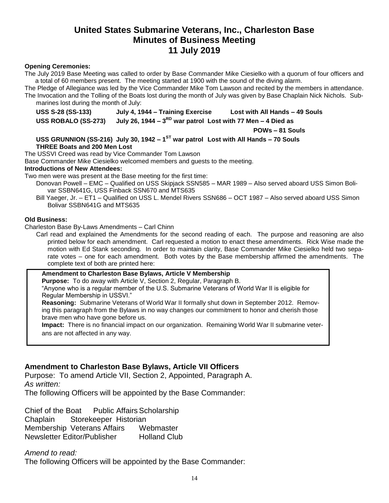# **United States Submarine Veterans, Inc., Charleston Base Minutes of Business Meeting 11 July 2019**

#### **Opening Ceremonies:**

The July 2019 Base Meeting was called to order by Base Commander Mike Ciesielko with a quorum of four officers and a total of 60 members present. The meeting started at 1900 with the sound of the diving alarm.

The Pledge of Allegiance was led by the Vice Commander Mike Tom Lawson and recited by the members in attendance. The Invocation and the Tolling of the Boats lost during the month of July was given by Base Chaplain Nick Nichols. Submarines lost during the month of July:

**USS S-28 (SS-133) July 4, 1944 – Training Exercise Lost with All Hands – 49 Souls**

**USS ROBALO (SS-273) July 26, 1944 – 3 RD war patrol Lost with 77 Men – 4 Died as**

**POWs – 81 Souls**

USS GRUNNION (SS-216) July 30, 1942 – 1<sup>ST</sup> war patrol Lost with All Hands – 70 Souls **THREE Boats and 200 Men Lost**

The USSVI Creed was read by Vice Commander Tom Lawson

Base Commander Mike Ciesielko welcomed members and guests to the meeting.

#### **Introductions of New Attendees:**

Two men were was present at the Base meeting for the first time:

- Donovan Powell EMC Qualified on USS Skipjack SSN585 MAR 1989 Also served aboard USS Simon Bolivar SSBN641G, USS Finback SSN670 and MTS635
- Bill Yaeger, Jr. ET1 Qualified on USS L. Mendel Rivers SSN686 OCT 1987 Also served aboard USS Simon Bolivar SSBN641G and MTS635

#### **Old Business:**

Charleston Base By-Laws Amendments – Carl Chinn

- Carl read and explained the Amendments for the second reading of each. The purpose and reasoning are also printed below for each amendment. Carl requested a motion to enact these amendments. Rick Wise made the motion with Ed Stank seconding. In order to maintain clarity, Base Commander Mike Ciesielko held two separate votes – one for each amendment. Both votes by the Base membership affirmed the amendments. The complete text of both are printed here:
- **Amendment to Charleston Base Bylaws, Article V Membership Purpose:** To do away with Article V, Section 2, Regular, Paragraph B.

"Anyone who is a regular member of the U.S. Submarine Veterans of World War II is eligible for Regular Membership in USSVI."

**Reasoning:** Submarine Veterans of World War II formally shut down in September 2012. Removing this paragraph from the Bylaws in no way changes our commitment to honor and cherish those brave men who have gone before us.

**Impact:** There is no financial impact on our organization. Remaining World War II submarine veterans are not affected in any way.

#### **Amendment to Charleston Base Bylaws, Article VII Officers**

Purpose: To amend Article VII, Section 2, Appointed, Paragraph A. *As written:*

The following Officers will be appointed by the Base Commander:

Chief of the Boat Public Affairs Scholarship Chaplain Storekeeper Historian Membership Veterans Affairs Webmaster Newsletter Editor/Publisher Holland Club

#### *Amend to read:*

The following Officers will be appointed by the Base Commander: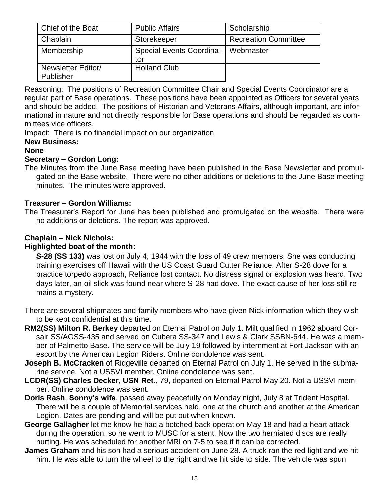| Chief of the Boat               | <b>Public Affairs</b>                  | Scholarship                 |
|---------------------------------|----------------------------------------|-----------------------------|
| Chaplain                        | Storekeeper                            | <b>Recreation Committee</b> |
| Membership                      | <b>Special Events Coordina-</b><br>tor | Webmaster                   |
| Newsletter Editor/<br>Publisher | <b>Holland Club</b>                    |                             |

Reasoning: The positions of Recreation Committee Chair and Special Events Coordinator are a regular part of Base operations. These positions have been appointed as Officers for several years and should be added. The positions of Historian and Veterans Affairs, although important, are informational in nature and not directly responsible for Base operations and should be regarded as committees vice officers.

Impact: There is no financial impact on our organization

### **New Business:**

### **None**

#### **Secretary – Gordon Long:**

The Minutes from the June Base meeting have been published in the Base Newsletter and promulgated on the Base website. There were no other additions or deletions to the June Base meeting minutes. The minutes were approved.

#### **Treasurer – Gordon Williams:**

The Treasurer's Report for June has been published and promulgated on the website. There were no additions or deletions. The report was approved.

#### **Chaplain – Nick Nichols:**

#### **Highlighted boat of the month:**

**S-28 (SS 133)** was lost on July 4, 1944 with the loss of 49 crew members. She was conducting training exercises off Hawaii with the US Coast Guard Cutter Reliance. After S-28 dove for a practice torpedo approach, Reliance lost contact. No distress signal or explosion was heard. Two days later, an oil slick was found near where S-28 had dove. The exact cause of her loss still remains a mystery.

There are several shipmates and family members who have given Nick information which they wish to be kept confidential at this time.

- **RM2(SS) Milton R. Berkey** departed on Eternal Patrol on July 1. Milt qualified in 1962 aboard Corsair SS/AGSS-435 and served on Cubera SS-347 and Lewis & Clark SSBN-644. He was a member of Palmetto Base. The service will be July 19 followed by internment at Fort Jackson with an escort by the American Legion Riders. Online condolence was sent.
- **Joseph B. McCracken** of Ridgeville departed on Eternal Patrol on July 1. He served in the submarine service. Not a USSVI member. Online condolence was sent.
- **LCDR(SS) Charles Decker, USN Ret**., 79, departed on Eternal Patrol May 20. Not a USSVI member. Online condolence was sent.
- **Doris Rash**, **Sonny's wife**, passed away peacefully on Monday night, July 8 at Trident Hospital. There will be a couple of Memorial services held, one at the church and another at the American Legion. Dates are pending and will be put out when known.
- **George Gallagher** let me know he had a botched back operation May 18 and had a heart attack during the operation, so he went to MUSC for a stent. Now the two herniated discs are really hurting. He was scheduled for another MRI on 7-5 to see if it can be corrected.
- **James Graham** and his son had a serious accident on June 28. A truck ran the red light and we hit him. He was able to turn the wheel to the right and we hit side to side. The vehicle was spun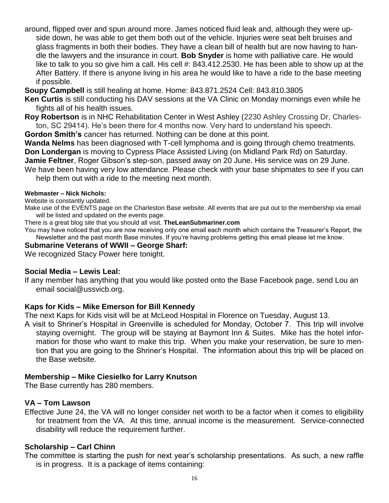around, flipped over and spun around more. James noticed fluid leak and, although they were upside down, he was able to get them both out of the vehicle. Injuries were seat belt bruises and glass fragments in both their bodies. They have a clean bill of health but are now having to handle the lawyers and the insurance in court. **Bob Snyder** is home with palliative care. He would like to talk to you so give him a call. His cell #: 843.412.2530. He has been able to show up at the After Battery. If there is anyone living in his area he would like to have a ride to the base meeting if possible.

**Soupy Campbell** is still healing at home. Home: 843.871.2524 Cell: 843.810.3805

**Ken Curtis** is still conducting his DAV sessions at the VA Clinic on Monday mornings even while he fights all of his health issues.

**Roy Robertson** is in NHC Rehabilitation Center in West Ashley (2230 Ashley Crossing Dr, Charleston, SC 29414). He's been there for 4 months now. Very hard to understand his speech.

**Gordon Smith's** cancer has returned. Nothing can be done at this point.

**Wanda Nelms** has been diagnosed with T-cell lymphoma and is going through chemo treatments. **Don Londergan** is moving to Cypress Place Assisted Living (on Midland Park Rd) on Saturday. **Jamie Feltner**, Roger Gibson's step-son, passed away on 20 June. His service was on 29 June.

We have been having very low attendance. Please check with your base shipmates to see if you can help them out with a ride to the meeting next month.

#### **Webmaster – Nick Nichols:**

Website is constantly updated.

Make use of the EVENTS page on the Charleston Base website. All events that are put out to the membership via email will be listed and updated on the events page.

There is a great blog site that you should all visit. **TheLeanSubmariner.com**

You may have noticed that you are now receiving only one email each month which contains the Treasurer's Report, the Newsletter and the past month Base minutes. If you're having problems getting this email please let me know.

#### **Submarine Veterans of WWII – George Sharf:**

We recognized Stacy Power here tonight.

#### **Social Media – Lewis Leal:**

If any member has anything that you would like posted onto the Base Facebook page, send Lou an email social@ussvicb.org.

#### **Kaps for Kids – Mike Emerson for Bill Kennedy**

The next Kaps for Kids visit will be at McLeod Hospital in Florence on Tuesday, August 13.

A visit to Shriner's Hospital in Greenville is scheduled for Monday, October 7. This trip will involve staying overnight. The group will be staying at Baymont Inn & Suites. Mike has the hotel information for those who want to make this trip. When you make your reservation, be sure to mention that you are going to the Shriner's Hospital. The information about this trip will be placed on the Base website.

#### **Membership – Mike Ciesielko for Larry Knutson**

The Base currently has 280 members.

#### **VA – Tom Lawson**

Effective June 24, the VA will no longer consider net worth to be a factor when it comes to eligibility for treatment from the VA. At this time, annual income is the measurement. Service-connected disability will reduce the requirement further.

#### **Scholarship – Carl Chinn**

The committee is starting the push for next year's scholarship presentations. As such, a new raffle is in progress. It is a package of items containing: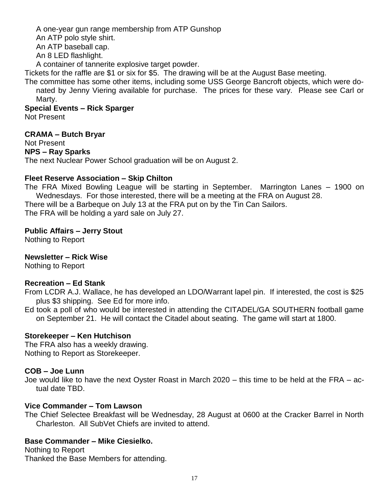A one-year gun range membership from ATP Gunshop An ATP polo style shirt.

An ATP baseball cap.

An 8 LED flashlight.

A container of tannerite explosive target powder.

Tickets for the raffle are \$1 or six for \$5. The drawing will be at the August Base meeting.

The committee has some other items, including some USS George Bancroft objects, which were donated by Jenny Viering available for purchase. The prices for these vary. Please see Carl or Marty.

**Special Events – Rick Sparger**

Not Present

#### **CRAMA – Butch Bryar**

Not Present

#### **NPS – Ray Sparks**

The next Nuclear Power School graduation will be on August 2.

#### **Fleet Reserve Association – Skip Chilton**

The FRA Mixed Bowling League will be starting in September. Marrington Lanes – 1900 on Wednesdays. For those interested, there will be a meeting at the FRA on August 28.

There will be a Barbeque on July 13 at the FRA put on by the Tin Can Sailors.

The FRA will be holding a yard sale on July 27.

#### **Public Affairs – Jerry Stout**

Nothing to Report

#### **Newsletter – Rick Wise**

Nothing to Report

#### **Recreation – Ed Stank**

From LCDR A.J. Wallace, he has developed an LDO/Warrant lapel pin. If interested, the cost is \$25 plus \$3 shipping. See Ed for more info.

Ed took a poll of who would be interested in attending the CITADEL/GA SOUTHERN football game on September 21. He will contact the Citadel about seating. The game will start at 1800.

#### **Storekeeper – Ken Hutchison**

The FRA also has a weekly drawing. Nothing to Report as Storekeeper.

#### **COB – Joe Lunn**

Joe would like to have the next Oyster Roast in March 2020 – this time to be held at the FRA – actual date TBD.

#### **Vice Commander – Tom Lawson**

The Chief Selectee Breakfast will be Wednesday, 28 August at 0600 at the Cracker Barrel in North Charleston. All SubVet Chiefs are invited to attend.

#### **Base Commander – Mike Ciesielko.**

Nothing to Report Thanked the Base Members for attending.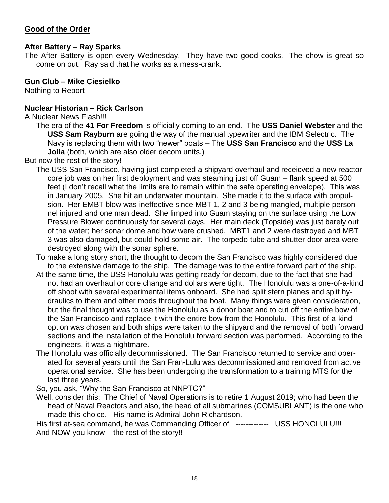#### **Good of the Order**

#### **After Battery** – **Ray Sparks**

The After Battery is open every Wednesday. They have two good cooks. The chow is great so come on out. Ray said that he works as a mess-crank.

#### **Gun Club – Mike Ciesielko**

Nothing to Report

#### **Nuclear Historian – Rick Carlson**

A Nuclear News Flash!!!

The era of the **41 For Freedom** is officially coming to an end. The **USS Daniel Webster** and the **USS Sam Rayburn** are going the way of the manual typewriter and the IBM Selectric. The Navy is replacing them with two "newer" boats – The **USS San Francisco** and the **USS La Jolla** (both, which are also older decom units.)

But now the rest of the story!

- The USS San Francisco, having just completed a shipyard overhaul and receicved a new reactor core job was on her first deployment and was steaming just off Guam – flank speed at 500 feet (I don't recall what the limits are to remain within the safe operating envelope). This was in January 2005. She hit an underwater mountain. She made it to the surface with propulsion. Her EMBT blow was ineffective since MBT 1, 2 and 3 being mangled, multiple personnel injured and one man dead. She limped into Guam staying on the surface using the Low Pressure Blower continuously for several days. Her main deck (Topside) was just barely out of the water; her sonar dome and bow were crushed. MBT1 and 2 were destroyed and MBT 3 was also damaged, but could hold some air. The torpedo tube and shutter door area were destroyed along with the sonar sphere.
- To make a long story short, the thought to decom the San Francisco was highly considered due to the extensive damage to the ship. The damage was to the entire forward part of the ship.
- At the same time, the USS Honolulu was getting ready for decom, due to the fact that she had not had an overhaul or core change and dollars were tight. The Honolulu was a one-of-a-kind off shoot with several experimental items onboard. She had split stern planes and split hydraulics to them and other mods throughout the boat. Many things were given consideration, but the final thought was to use the Honolulu as a donor boat and to cut off the entire bow of the San Francisco and replace it with the entire bow from the Honolulu. This first-of-a-kind option was chosen and both ships were taken to the shipyard and the removal of both forward sections and the installation of the Honolulu forward section was performed. According to the engineers, it was a nightmare.
- The Honolulu was officially decommissioned. The San Francisco returned to service and operated for several years until the San Fran-Lulu was decommissioned and removed from active operational service. She has been undergoing the transformation to a training MTS for the last three years.

So, you ask, "Why the San Francisco at NNPTC?"

Well, consider this: The Chief of Naval Operations is to retire 1 August 2019; who had been the head of Naval Reactors and also, the head of all submarines (COMSUBLANT) is the one who made this choice. His name is Admiral John Richardson.

His first at-sea command, he was Commanding Officer of ------------- USS HONOLULU!!! And NOW you know – the rest of the story!!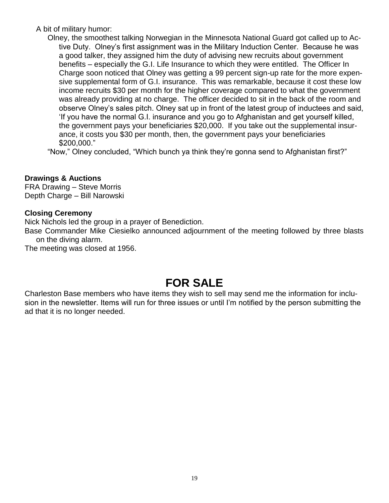A bit of military humor:

Olney, the smoothest talking Norwegian in the Minnesota National Guard got called up to Active Duty. Olney's first assignment was in the Military Induction Center. Because he was a good talker, they assigned him the duty of advising new recruits about government benefits – especially the G.I. Life Insurance to which they were entitled. The Officer In Charge soon noticed that Olney was getting a 99 percent sign-up rate for the more expensive supplemental form of G.I. insurance. This was remarkable, because it cost these low income recruits \$30 per month for the higher coverage compared to what the government was already providing at no charge. The officer decided to sit in the back of the room and observe Olney's sales pitch. Olney sat up in front of the latest group of inductees and said, 'If you have the normal G.I. insurance and you go to Afghanistan and get yourself killed, the government pays your beneficiaries \$20,000. If you take out the supplemental insurance, it costs you \$30 per month, then, the government pays your beneficiaries \$200,000."

"Now," Olney concluded, "Which bunch ya think they're gonna send to Afghanistan first?"

#### **Drawings & Auctions**

FRA Drawing – Steve Morris Depth Charge – Bill Narowski

#### **Closing Ceremony**

Nick Nichols led the group in a prayer of Benediction.

Base Commander Mike Ciesielko announced adjournment of the meeting followed by three blasts on the diving alarm.

The meeting was closed at 1956.

# **FOR SALE**

Charleston Base members who have items they wish to sell may send me the information for inclusion in the newsletter. Items will run for three issues or until I'm notified by the person submitting the ad that it is no longer needed.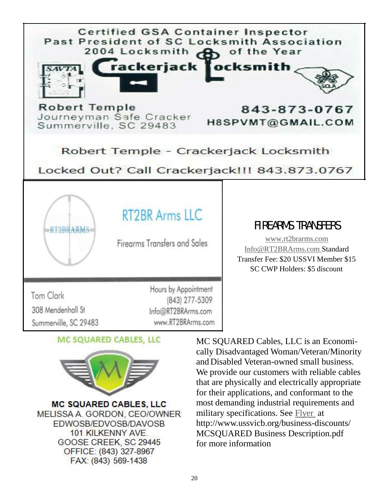



**MC SQUARED CABLES, LLC** MELISSA A. GORDON, CEO/OWNER **FDWOSB/EDVOSB/DAVOSB** 101 KILKENNY AVE. GOOSE CREEK, SC 29445 OFFICE: (843) 327-8967 FAX: (843) 569-1438

MC SQUARED Cables, LLC is an Economically Disadvantaged Woman/Veteran/Minority and Disabled Veteran-owned small business. We provide our customers with reliable cables that are physically and electrically appropriate for their applications, and conformant to the most demanding industrial requirements and military specifications. See [Flyer](http://www.ussvicb.org/business-discounts/MC%20SQUARED%20Business%20Description.pdf) at http://www.ussvicb.org/business-discounts/ MCSQUARED Business Description.pdf for more information